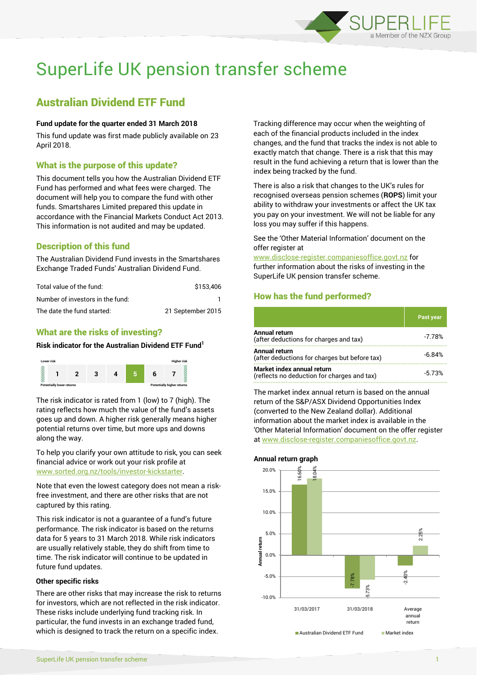

# SuperLife UK pension transfer scheme

## Australian Dividend ETF Fund

#### **Fund update for the quarter ended 31 March 2018**

This fund update was first made publicly available on 23 April 2018.

## What is the purpose of this update?

This document tells you how the Australian Dividend ETF Fund has performed and what fees were charged. The document will help you to compare the fund with other funds. Smartshares Limited prepared this update in accordance with the Financial Markets Conduct Act 2013. This information is not audited and may be updated.

## Description of this fund

The Australian Dividend Fund invests in the Smartshares Exchange Traded Funds' Australian Dividend Fund.

| Total value of the fund:         | \$153,406         |
|----------------------------------|-------------------|
| Number of investors in the fund: |                   |
| The date the fund started:       | 21 September 2015 |

## What are the risks of investing?

### **Risk indicator for the Australian Dividend ETF Fund<sup>1</sup>**



The risk indicator is rated from 1 (low) to 7 (high). The rating reflects how much the value of the fund's assets goes up and down. A higher risk generally means higher potential returns over time, but more ups and downs along the way.

To help you clarify your own attitude to risk, you can seek financial advice or work out your risk profile at [www.sorted.org.nz/tools/investor-kickstarter.](http://www.sorted.org.nz/tools/investor-kickstarter)

Note that even the lowest category does not mean a riskfree investment, and there are other risks that are not captured by this rating.

This risk indicator is not a guarantee of a fund's future performance. The risk indicator is based on the returns data for 5 years to 31 March 2018. While risk indicators are usually relatively stable, they do shift from time to time. The risk indicator will continue to be updated in future fund updates.

#### **Other specific risks**

There are other risks that may increase the risk to returns for investors, which are not reflected in the risk indicator. These risks include underlying fund tracking risk. In particular, the fund invests in an exchange traded fund, which is designed to track the return on a specific index.

Tracking difference may occur when the weighting of each of the financial products included in the index changes, and the fund that tracks the index is not able to exactly match that change. There is a risk that this may result in the fund achieving a return that is lower than the index being tracked by the fund.

There is also a risk that changes to the UK's rules for recognised overseas pension schemes (**ROPS**) limit your ability to withdraw your investments or affect the UK tax you pay on your investment. We will not be liable for any loss you may suffer if this happens.

See the 'Other Material Information' document on the offer register at

www.disclose-register.companiesoffice.govt.nz for further information about the risks of investing in the SuperLife UK pension transfer scheme.

## How has the fund performed?

|                                                                           | Past year |
|---------------------------------------------------------------------------|-----------|
| <b>Annual return</b><br>(after deductions for charges and tax)            | $-7.78%$  |
| Annual return<br>(after deductions for charges but before tax)            | $-6.84%$  |
| Market index annual return<br>(reflects no deduction for charges and tax) | $-573%$   |

The market index annual return is based on the annual return of the S&P/ASX Dividend Opportunities Index (converted to the New Zealand dollar). Additional information about the market index is available in the 'Other Material Information' document on the offer register at www.disclose-register.companiesoffice.govt.nz.

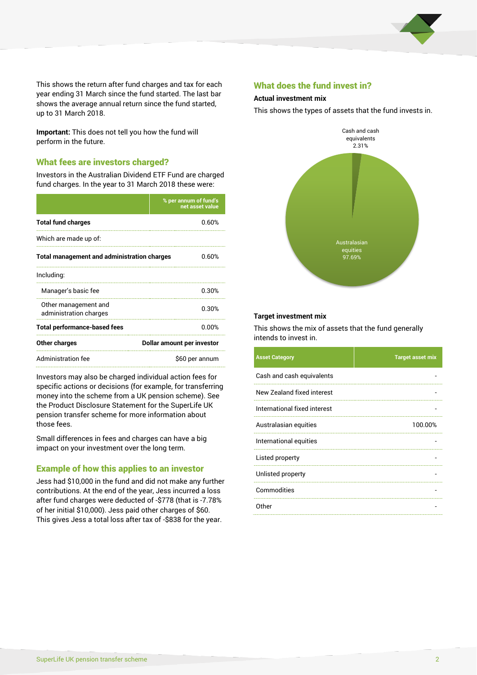

This shows the return after fund charges and tax for each year ending 31 March since the fund started. The last bar shows the average annual return since the fund started, up to 31 March 2018.

**Important:** This does not tell you how the fund will perform in the future.

## What fees are investors charged?

Investors in the Australian Dividend ETF Fund are charged fund charges. In the year to 31 March 2018 these were:

|                                                    | % per annum of fund's<br>net asset value |  |
|----------------------------------------------------|------------------------------------------|--|
| <b>Total fund charges</b>                          | 0.60%                                    |  |
| Which are made up of:                              |                                          |  |
| <b>Total management and administration charges</b> | 0.60%                                    |  |
| Including:                                         |                                          |  |
| Manager's basic fee                                | 0.30%                                    |  |
| Other management and<br>administration charges     | 0.30%                                    |  |
| <b>Total performance-based fees</b>                | 0.00%                                    |  |
| Other charges                                      | Dollar amount per investor               |  |
| Administration fee                                 | \$60 per annum                           |  |

Investors may also be charged individual action fees for specific actions or decisions (for example, for transferring money into the scheme from a UK pension scheme). See the Product Disclosure Statement for the SuperLife UK pension transfer scheme for more information about those fees.

Small differences in fees and charges can have a big impact on your investment over the long term.

## Example of how this applies to an investor

Jess had \$10,000 in the fund and did not make any further contributions. At the end of the year, Jess incurred a loss after fund charges were deducted of -\$778 (that is -7.78% of her initial \$10,000). Jess paid other charges of \$60. This gives Jess a total loss after tax of -\$838 for the year.

## What does the fund invest in?

#### **Actual investment mix**

This shows the types of assets that the fund invests in.



#### **Target investment mix**

This shows the mix of assets that the fund generally intends to invest in.

| <b>Asset Category</b>        | <b>Target asset mix</b> |
|------------------------------|-------------------------|
| Cash and cash equivalents    |                         |
| New Zealand fixed interest   |                         |
| International fixed interest |                         |
| Australasian equities        | 100.00%                 |
| International equities       |                         |
| Listed property              |                         |
| Unlisted property            |                         |
| Commodities                  |                         |
| Other                        |                         |